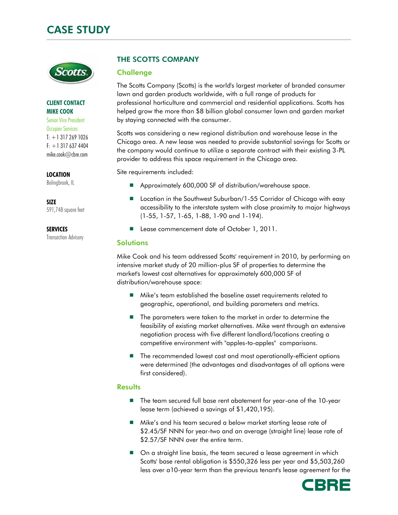

#### CLIENT CONTACT MIKE COOK

Senior Vice President Occupier Services  $T: +13172691026$  $F: +1$  317 637 4404 mike.cook@cbre.com

LOCATION

Bolingbrook, IL

SIZE 591,748 square feet

**SERVICES** 

Transaction Advisory

# THE SCOTTS COMPANY

## **Challenge**

The Scotts Company (Scotts) is the world's largest marketer of branded consumer lawn and garden products worldwide, with a full range of products for professional horticulture and commercial and residential applications. Scotts has helped grow the more than \$8 billion global consumer lawn and garden market by staying connected with the consumer.

Scotts was considering a new regional distribution and warehouse lease in the Chicago area. A new lease was needed to provide substantial savings for Scotts or the company would continue to utilize a separate contract with their existing 3-PL provider to address this space requirement in the Chicago area.

Site requirements included:

- Approximately 600,000 SF of distribution/warehouse space.
- Location in the Southwest Suburban/1-55 Corridor of Chicago with easy accessibility to the interstate system with close proximity to major highways (1-55, 1-57, 1-65, 1-88, 1-90 and 1-194).
- Lease commencement date of October 1, 2011.

## **Solutions**

Mike Cook and his team addressed Scotts' requirement in 2010, by performing an intensive market study of 20 million-plus SF of properties to determine the market's lowest cost alternatives for approximately 600,000 SF of distribution/warehouse space:

- Mike's team established the baseline asset requirements related to geographic, operational, and building parameters and metrics.
- The parameters were taken to the market in order to determine the feasibility of existing market alternatives. Mike went through an extensive negotiation process with five different landlord/locations creating a competitive environment with "apples-to-apples" comparisons.
- The recommended lowest cost and most operationally-efficient options were determined (the advantages and disadvantages of all options were first considered).

## **Results**

- The team secured full base rent abatement for year-one of the 10-year lease term (achieved a savings of \$1,420,195).
- Mike's and his team secured a below market starting lease rate of \$2.45/SF NNN for year-two and an average (straight line) lease rate of \$2.57/SF NNN over the entire term.
- $\Box$  On a straight line basis, the team secured a lease agreement in which Scotts' base rental obligation is \$550,326 less per year and \$5,503,260 less over a10-year term than the previous tenant's lease agreement for the